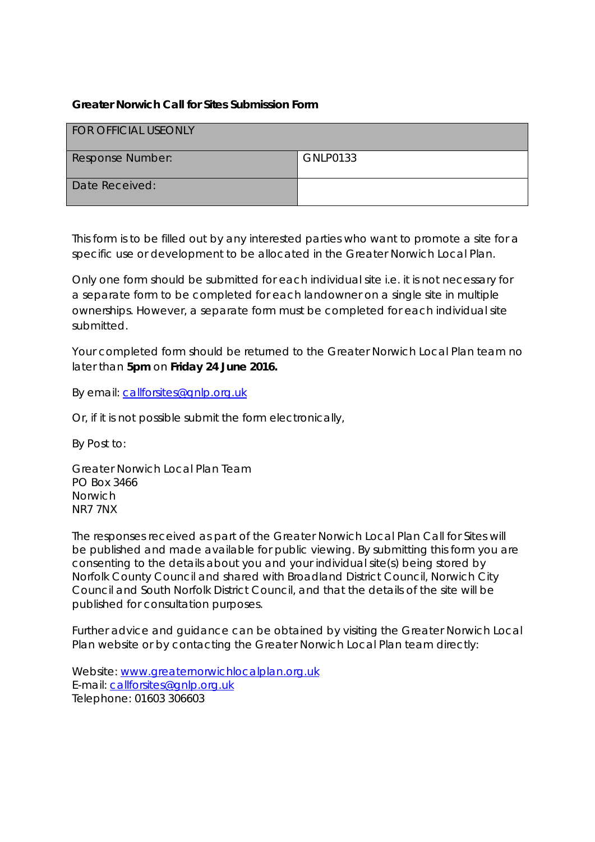#### **Greater Norwich Call for Sites Submission Form**

| <b>FOR OFFICIAL USEONLY</b> |                 |
|-----------------------------|-----------------|
| <b>Response Number:</b>     | <b>GNLP0133</b> |
| Date Received:              |                 |

This form is to be filled out by any interested parties who want to promote a site for a specific use or development to be allocated in the Greater Norwich Local Plan.

Only one form should be submitted for each individual site i.e. it is not necessary for a separate form to be completed for each landowner on a single site in multiple ownerships. However, a separate form must be completed for each individual site submitted.

Your completed form should be returned to the Greater Norwich Local Plan team no later than **5pm** on **Friday 24 June 2016.**

By email: [callforsites@gnlp.org.uk](mailto:callforsites@gnlp.org.uk) 

Or, if it is not possible submit the form electronically,

By Post to:

*Greater Norwich Local Plan Team PO Box 3466 Norwich NR7 7NX*

The responses received as part of the Greater Norwich Local Plan Call for Sites will be published and made available for public viewing. By submitting this form you are consenting to the details about you and your individual site(s) being stored by Norfolk County Council and shared with Broadland District Council, Norwich City Council and South Norfolk District Council, and that the details of the site will be published for consultation purposes.

Further advice and guidance can be obtained by visiting the Greater Norwich Local Plan website or by contacting the Greater Norwich Local Plan team directly:

Website: [www.greaternorwichlocalplan.org.uk](http://www.greaternorwichlocalplan.org.uk/) E-mail: [callforsites@gnlp.org.uk](mailto:callforsites@gnlp.org.uk) Telephone: 01603 306603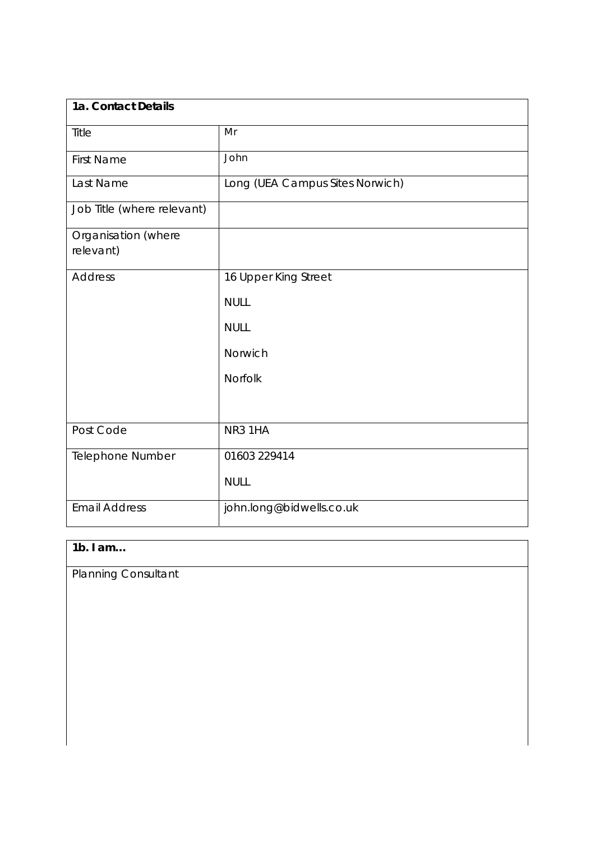| 1a. Contact Details              |                                 |  |
|----------------------------------|---------------------------------|--|
| Title                            | Mr                              |  |
| <b>First Name</b>                | John                            |  |
| Last Name                        | Long (UEA Campus Sites Norwich) |  |
| Job Title (where relevant)       |                                 |  |
| Organisation (where<br>relevant) |                                 |  |
| <b>Address</b>                   | 16 Upper King Street            |  |
|                                  | <b>NULL</b>                     |  |
|                                  | <b>NULL</b>                     |  |
|                                  | Norwich                         |  |
|                                  | Norfolk                         |  |
|                                  |                                 |  |
| Post Code                        | NR3 1HA                         |  |
| Telephone Number                 | 01603 229414                    |  |
|                                  | <b>NULL</b>                     |  |
| <b>Email Address</b>             | john.long@bidwells.co.uk        |  |

# **1b. I am…**

Planning Consultant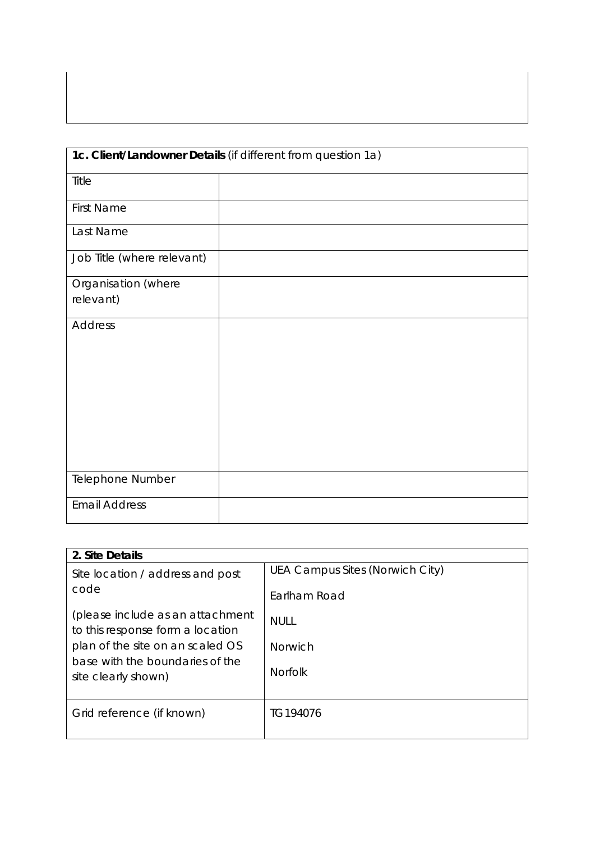| 1c. Client/Landowner Details (if different from question 1a) |  |  |
|--------------------------------------------------------------|--|--|
|                                                              |  |  |
| Title                                                        |  |  |
| <b>First Name</b>                                            |  |  |
| Last Name                                                    |  |  |
| Job Title (where relevant)                                   |  |  |
| Organisation (where                                          |  |  |
| relevant)                                                    |  |  |
| Address                                                      |  |  |
| Telephone Number                                             |  |  |
| <b>Email Address</b>                                         |  |  |

| 2. Site Details                                                      |                                 |  |
|----------------------------------------------------------------------|---------------------------------|--|
| Site location / address and post                                     | UEA Campus Sites (Norwich City) |  |
| code                                                                 | Earlham Road                    |  |
| (please include as an attachment<br>to this response form a location | <b>NULL</b>                     |  |
| plan of the site on an scaled OS<br>base with the boundaries of the  | <b>Norwich</b>                  |  |
| site clearly shown)                                                  | <b>Norfolk</b>                  |  |
| Grid reference (if known)                                            | TG194076                        |  |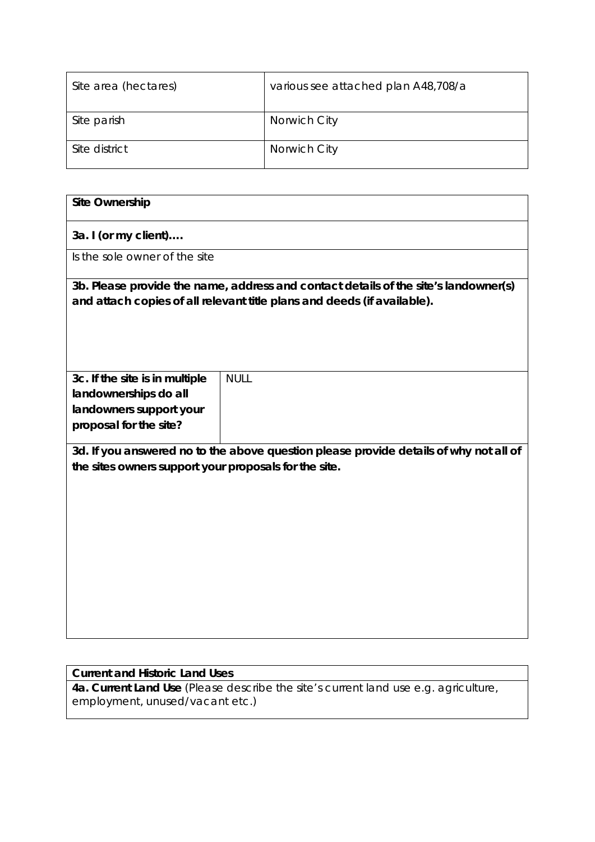| Site area (hectares) | various see attached plan A48,708/a |
|----------------------|-------------------------------------|
| Site parish          | Norwich City                        |
| Site district        | Norwich City                        |

| <b>Site Ownership</b>                                   |                                                                                                                                                                |
|---------------------------------------------------------|----------------------------------------------------------------------------------------------------------------------------------------------------------------|
| 3a. I (or my client)                                    |                                                                                                                                                                |
| Is the sole owner of the site                           |                                                                                                                                                                |
|                                                         | 3b. Please provide the name, address and contact details of the site's landowner(s)<br>and attach copies of all relevant title plans and deeds (if available). |
| 3c. If the site is in multiple<br>landownerships do all | <b>NULL</b>                                                                                                                                                    |
| landowners support your                                 |                                                                                                                                                                |
| proposal for the site?                                  |                                                                                                                                                                |
| the sites owners support your proposals for the site.   | 3d. If you answered no to the above question please provide details of why not all of                                                                          |

### **Current and Historic Land Uses**

**4a. Current Land Use** (Please describe the site's current land use e.g. agriculture, employment, unused/vacant etc.)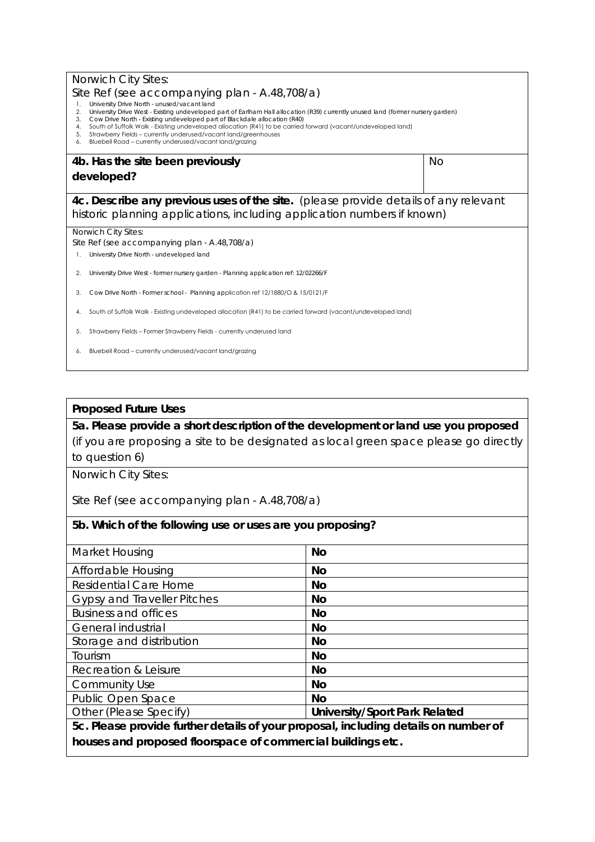| <b>Norwich City Sites:</b>                                                                                                                                                                                                                                                                                                                                                                                                                                                                                                                                                                       |    |  |
|--------------------------------------------------------------------------------------------------------------------------------------------------------------------------------------------------------------------------------------------------------------------------------------------------------------------------------------------------------------------------------------------------------------------------------------------------------------------------------------------------------------------------------------------------------------------------------------------------|----|--|
| Site Ref (see accompanying plan - A.48,708/a)<br>University Drive North - unused/vacant land<br>1.<br>University Drive West - Existing undeveloped part of Earlham Hall allocation (R39) currently unused land (former nursery garden)<br>2.<br>Cow Drive North - Existing undeveloped part of Blackdale allocation (R40)<br>3.<br>South of Suffolk Walk - Existing undeveloped allocation (R41) to be carried forward (vacant/undeveloped land)<br>4.<br>Strawberry Fields - currently underused/vacant land/greenhouses<br>5.<br>Bluebell Road - currently underused/vacant land/grazing<br>6. |    |  |
| 4b. Has the site been previously                                                                                                                                                                                                                                                                                                                                                                                                                                                                                                                                                                 | No |  |
| developed?                                                                                                                                                                                                                                                                                                                                                                                                                                                                                                                                                                                       |    |  |
| 4c. Describe any previous uses of the site. (please provide details of any relevant<br>historic planning applications, including application numbers if known)                                                                                                                                                                                                                                                                                                                                                                                                                                   |    |  |
| Norwich City Sites:                                                                                                                                                                                                                                                                                                                                                                                                                                                                                                                                                                              |    |  |
| Site Ref (see accompanying plan - A.48,708/a)<br>University Drive North - undeveloped land                                                                                                                                                                                                                                                                                                                                                                                                                                                                                                       |    |  |
|                                                                                                                                                                                                                                                                                                                                                                                                                                                                                                                                                                                                  |    |  |
| University Drive West - former nursery garden - Planning application ref: 12/02266/F<br>2.                                                                                                                                                                                                                                                                                                                                                                                                                                                                                                       |    |  |
| Cow Drive North - Former school - Planning application ref 12/1880/O & 15/0121/F<br>3.                                                                                                                                                                                                                                                                                                                                                                                                                                                                                                           |    |  |
|                                                                                                                                                                                                                                                                                                                                                                                                                                                                                                                                                                                                  |    |  |
| South of Suffolk Walk - Existing undeveloped allocation (R41) to be carried forward (vacant/undeveloped land)                                                                                                                                                                                                                                                                                                                                                                                                                                                                                    |    |  |
| Strawberry Fields - Former Strawberry Fields - currently underused land<br>5.                                                                                                                                                                                                                                                                                                                                                                                                                                                                                                                    |    |  |

#### **Proposed Future Uses**

**5a. Please provide a short description of the development or land use you proposed**  (if you are proposing a site to be designated as local green space please go directly to question 6)

Norwich City Sites:

Site Ref (see accompanying plan - A.48,708/a)

## **5b. Which of the following use or uses are you proposing?**

| Market Housing                                                                      | <b>No</b>                            |  |
|-------------------------------------------------------------------------------------|--------------------------------------|--|
| Affordable Housing                                                                  | <b>No</b>                            |  |
| <b>Residential Care Home</b>                                                        | <b>No</b>                            |  |
| <b>Gypsy and Traveller Pitches</b>                                                  | <b>No</b>                            |  |
| <b>Business and offices</b>                                                         | <b>No</b>                            |  |
| General industrial                                                                  | <b>No</b>                            |  |
| Storage and distribution                                                            | <b>No</b>                            |  |
| Tourism                                                                             | <b>No</b>                            |  |
| Recreation & Leisure                                                                | <b>No</b>                            |  |
| <b>Community Use</b>                                                                | <b>No</b>                            |  |
| Public Open Space                                                                   | <b>No</b>                            |  |
| Other (Please Specify)                                                              | <b>University/Sport Park Related</b> |  |
| 5c. Please provide further details of your proposal, including details on number of |                                      |  |
| houses and proposed floorspace of commercial buildings etc.                         |                                      |  |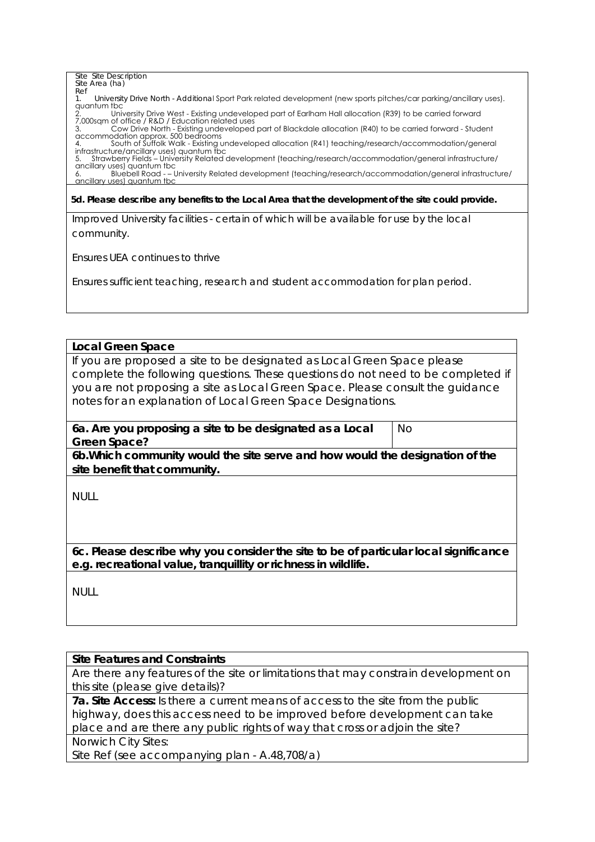#### Site Site Description Site Area (ha) Ref 1. University Drive North - Additional Sport Park related development (new sports pitches/car parking/ancillary uses). quantum tbc 2. University Drive West - Existing undeveloped part of Earlham Hall allocation (R39) to be carried forward 7,000sqm of office / R&D / Education related uses 3. Cow Drive North - Existing undeveloped part of Blackdale allocation (R40) to be carried forward - Student accommodation approx. 500 bedrooms<br>4. South of Suffolk Walk - Existing undeveloped allocation (R41) teaching/research/accommodation/general<br>infrastructure/ancillary uses) quantum tbc 5. Strawberry Fields – University Related development (teaching/research/accommodation/general infrastructure/ ancillary uses) quantum tbc 6. Bluebell Road - – University Related development (teaching/research/accommodation/general infrastructure/ ancillary uses) quantum tbc

#### **5d. Please describe any benefits to the Local Area that the development of the site could provide.**

Improved University facilities - certain of which will be available for use by the local community.

Ensures UEA continues to thrive

Ensures sufficient teaching, research and student accommodation for plan period.

#### **Local Green Space**

If you are proposed a site to be designated as Local Green Space please complete the following questions. These questions do not need to be completed if you are not proposing a site as Local Green Space. Please consult the guidance notes for an explanation of Local Green Space Designations.

**6a. Are you proposing a site to be designated as a Local Green Space?**  No

**6b.Which community would the site serve and how would the designation of the site benefit that community.** 

NULL

**6c. Please describe why you consider the site to be of particular local significance e.g. recreational value, tranquillity or richness in wildlife.**

NULL

#### **Site Features and Constraints**

Are there any features of the site or limitations that may constrain development on this site (please give details)?

**7a. Site Access:** Is there a current means of access to the site from the public highway, does this access need to be improved before development can take place and are there any public rights of way that cross or adjoin the site? Norwich City Sites:

Site Ref (see accompanying plan - A.48,708/a)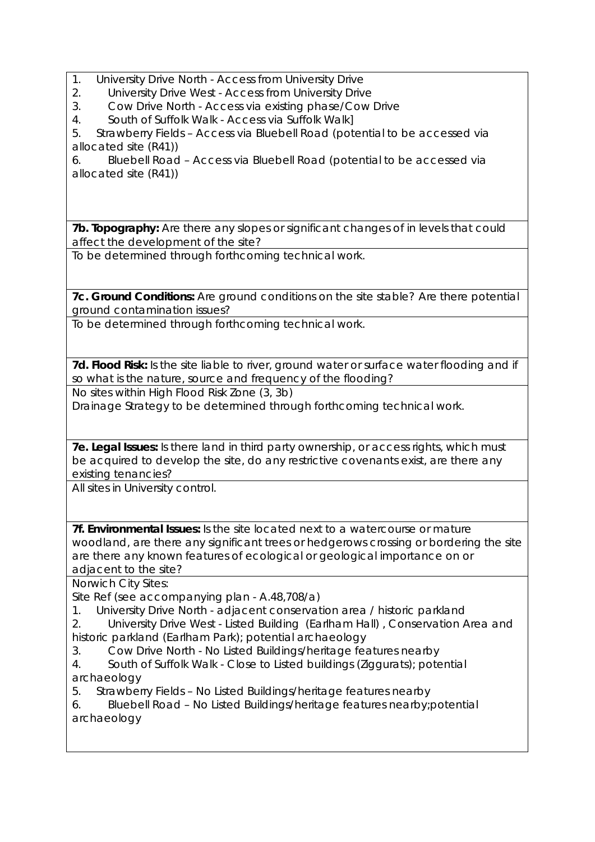- 1. University Drive North Access from University Drive
- 2. University Drive West Access from University Drive<br>3. Cow Drive North Access via existing phase/Cow
- 3. Cow Drive North Access via existing phase/Cow Drive

4. South of Suffolk Walk - Access via Suffolk Walk]

5. Strawberry Fields – Access via Bluebell Road (potential to be accessed via allocated site (R41))

6. Bluebell Road – Access via Bluebell Road (potential to be accessed via allocated site (R41))

**7b. Topography:** Are there any slopes or significant changes of in levels that could affect the development of the site?

To be determined through forthcoming technical work.

**7c. Ground Conditions:** Are ground conditions on the site stable? Are there potential ground contamination issues?

To be determined through forthcoming technical work.

7d. Flood Risk: Is the site liable to river, ground water or surface water flooding and if so what is the nature, source and frequency of the flooding?

No sites within High Flood Risk Zone (3, 3b)

Drainage Strategy to be determined through forthcoming technical work.

**7e. Legal Issues:** Is there land in third party ownership, or access rights, which must be acquired to develop the site, do any restrictive covenants exist, are there any existing tenancies?

All sites in University control.

**7f. Environmental Issues:** Is the site located next to a watercourse or mature woodland, are there any significant trees or hedgerows crossing or bordering the site are there any known features of ecological or geological importance on or adjacent to the site?

Norwich City Sites:

Site Ref (see accompanying plan - A.48,708/a)

- 1. University Drive North adjacent conservation area / historic parkland
- 2. University Drive West Listed Building (Earlham Hall) , Conservation Area and historic parkland (Earlham Park); potential archaeology
- 3. Cow Drive North No Listed Buildings/heritage features nearby
- 4. South of Suffolk Walk Close to Listed buildings (Ziggurats); potential archaeology
- 5. Strawberry Fields No Listed Buildings/heritage features nearby
- 6. Bluebell Road No Listed Buildings/heritage features nearby;potential archaeology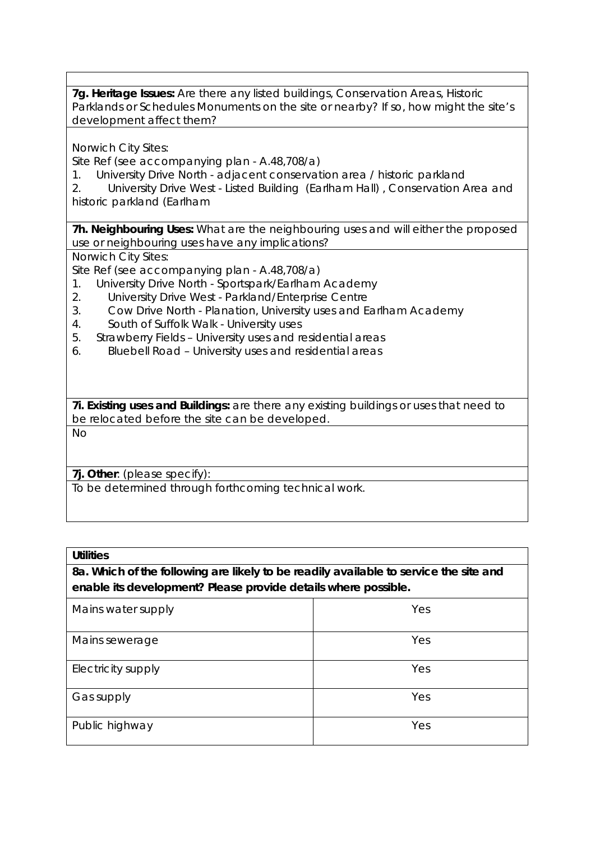**7g. Heritage Issues:** Are there any listed buildings, Conservation Areas, Historic Parklands or Schedules Monuments on the site or nearby? If so, how might the site's development affect them?

Norwich City Sites:

Site Ref (see accompanying plan - A.48,708/a)

1. University Drive North - adjacent conservation area / historic parkland

2. University Drive West - Listed Building (Earlham Hall) , Conservation Area and historic parkland (Earlham

**7h. Neighbouring Uses:** What are the neighbouring uses and will either the proposed use or neighbouring uses have any implications?

Norwich City Sites:

Site Ref (see accompanying plan - A.48,708/a)

- 1. University Drive North Sportspark/Earlham Academy
- 2. University Drive West Parkland/Enterprise Centre
- 3. Cow Drive North Planation, University uses and Earlham Academy
- 4. South of Suffolk Walk University uses
- 5. Strawberry Fields University uses and residential areas
- 6. Bluebell Road University uses and residential areas

**7i. Existing uses and Buildings:** are there any existing buildings or uses that need to be relocated before the site can be developed.

 $N<sub>O</sub>$ 

**7j. Other**: (please specify):

To be determined through forthcoming technical work.

| <b>Utilities</b>                                                                                                                                        |     |  |
|---------------------------------------------------------------------------------------------------------------------------------------------------------|-----|--|
| 8a. Which of the following are likely to be readily available to service the site and<br>enable its development? Please provide details where possible. |     |  |
|                                                                                                                                                         |     |  |
| Mains sewerage                                                                                                                                          | Yes |  |
| Electricity supply                                                                                                                                      | Yes |  |
| Gas supply                                                                                                                                              | Yes |  |
| Public highway                                                                                                                                          | Yes |  |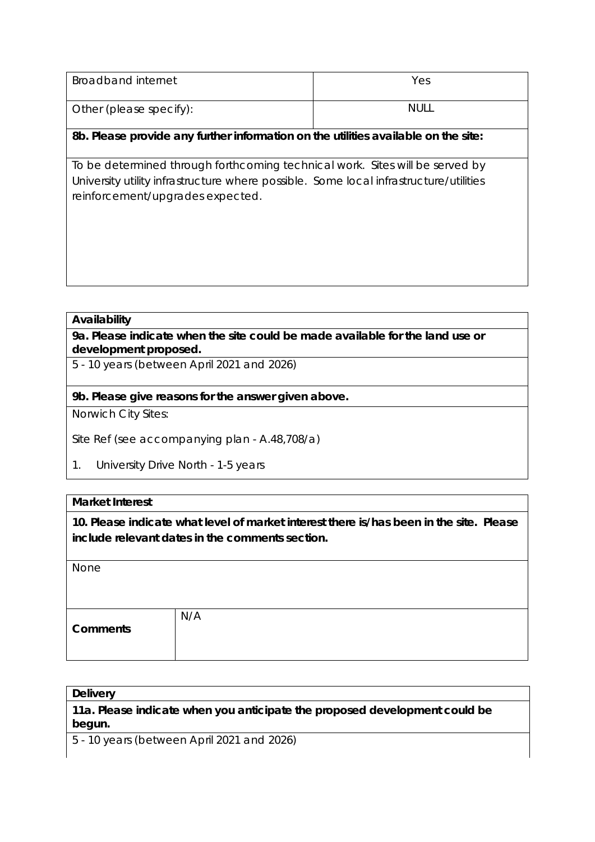| Broadband internet                                                                                                                                                                                        | Yes         |
|-----------------------------------------------------------------------------------------------------------------------------------------------------------------------------------------------------------|-------------|
| Other (please specify):                                                                                                                                                                                   | <b>NULL</b> |
| 8b. Please provide any further information on the utilities available on the site:                                                                                                                        |             |
| To be determined through forthcoming technical work. Sites will be served by<br>University utility infrastructure where possible. Some local infrastructure/utilities<br>reinforcement/upgrades expected. |             |

#### **Availability**

**9a. Please indicate when the site could be made available for the land use or development proposed.** 

5 - 10 years (between April 2021 and 2026)

#### **9b. Please give reasons for the answer given above.**

Norwich City Sites:

Site Ref (see accompanying plan - A.48,708/a)

1. University Drive North - 1-5 years

#### **Market Interest**

**10. Please indicate what level of market interest there is/has been in the site. Please include relevant dates in the comments section.**

| None            |     |
|-----------------|-----|
|                 |     |
|                 |     |
|                 |     |
|                 | N/A |
| <b>Comments</b> |     |
|                 |     |
|                 |     |
|                 |     |

| <b>Delivery</b>                                                                      |  |
|--------------------------------------------------------------------------------------|--|
| 11a. Please indicate when you anticipate the proposed development could be<br>begun. |  |

5 - 10 years (between April 2021 and 2026)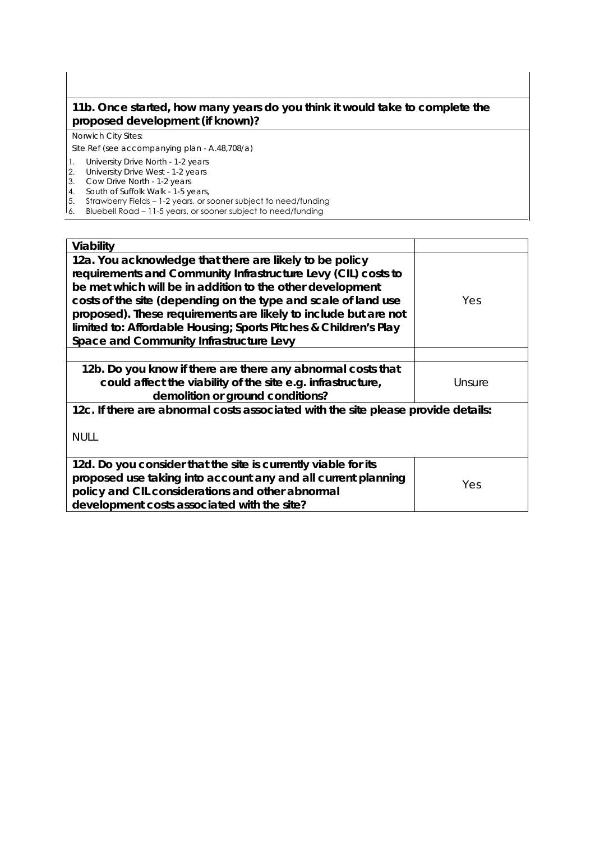#### **11b. Once started, how many years do you think it would take to complete the proposed development (if known)?**

#### Norwich City Sites:

Site Ref (see accompanying plan - A.48,708/a)

- 1. University Drive North 1-2 years
- 2. University Drive West 1-2 years
- 3. Cow Drive North 1-2 years
- 4. South of Suffolk Walk 1-5 years,
- 5. Strawberry Fields 1-2 years, or sooner subject to need/funding
- 6. Bluebell Road 11-5 years, or sooner subject to need/funding

| Viability                                                                                                                                                                                                                                                                                                                                                                                                                                 |        |  |
|-------------------------------------------------------------------------------------------------------------------------------------------------------------------------------------------------------------------------------------------------------------------------------------------------------------------------------------------------------------------------------------------------------------------------------------------|--------|--|
| 12a. You acknowledge that there are likely to be policy<br>requirements and Community Infrastructure Levy (CIL) costs to<br>be met which will be in addition to the other development<br>costs of the site (depending on the type and scale of land use<br>proposed). These requirements are likely to include but are not<br>limited to: Affordable Housing; Sports Pitches & Children's Play<br>Space and Community Infrastructure Levy | Yes.   |  |
|                                                                                                                                                                                                                                                                                                                                                                                                                                           |        |  |
| 12b. Do you know if there are there any abnormal costs that<br>could affect the viability of the site e.g. infrastructure,<br>demolition or ground conditions?                                                                                                                                                                                                                                                                            | Unsure |  |
| 12c. If there are abnormal costs associated with the site please provide details:                                                                                                                                                                                                                                                                                                                                                         |        |  |
| <b>NULL</b>                                                                                                                                                                                                                                                                                                                                                                                                                               |        |  |
| 12d. Do you consider that the site is currently viable for its<br>proposed use taking into account any and all current planning<br>policy and CIL considerations and other abnormal<br>development costs associated with the site?                                                                                                                                                                                                        | Yes    |  |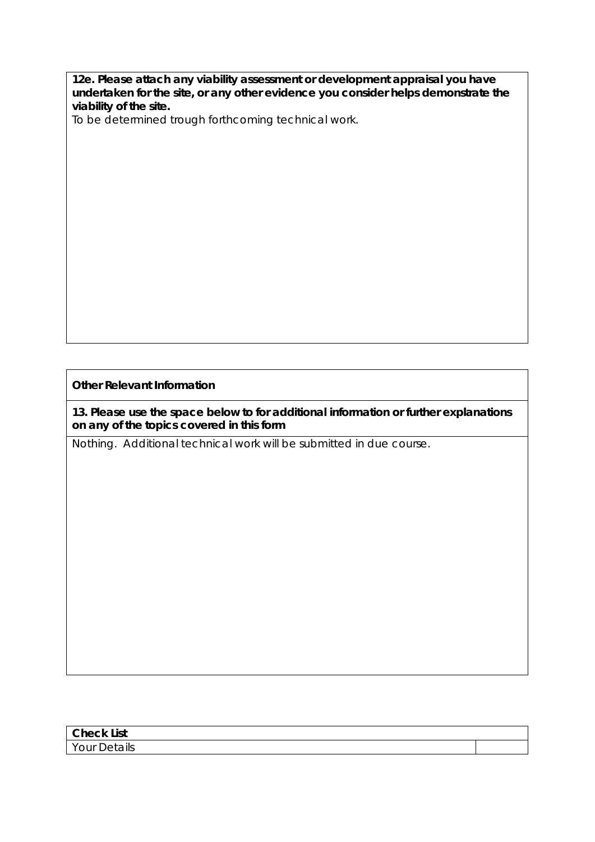**12e. Please attach any viability assessment or development appraisal you have undertaken for the site, or any other evidence you consider helps demonstrate the viability of the site.** 

To be determined trough forthcoming technical work.

**Other Relevant Information**

**13. Please use the space below to for additional information or further explanations on any of the topics covered in this form**

Nothing. Additional technical work will be submitted in due course.

| $\sim$<br><b>Lict</b><br>. 131<br>______ |  |
|------------------------------------------|--|
| 'Our<br>ւաս<br>້                         |  |